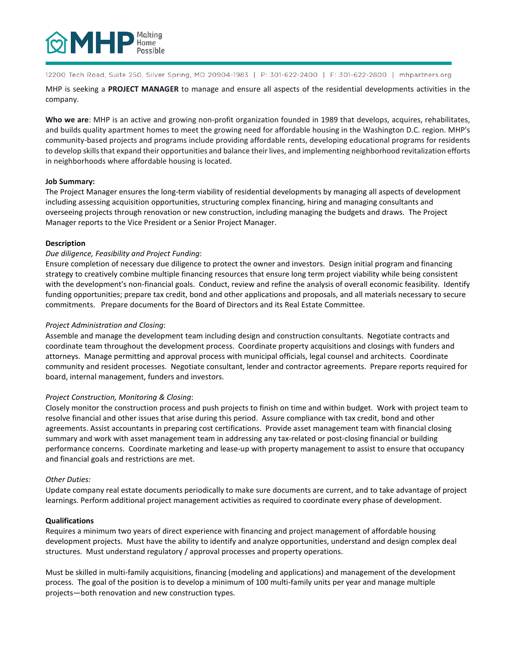

12200 Tech Road, Suite 250, Silver Spring, MD 20904-1983 | P: 301-622-2400 | F: 301-622-2800 | mhpartners.org

MHP is seeking a **PROJECT MANAGER** to manage and ensure all aspects of the residential developments activities in the company.

**Who we are**: MHP is an active and growing non-profit organization founded in 1989 that develops, acquires, rehabilitates, and builds quality apartment homes to meet the growing need for affordable housing in the Washington D.C. region. MHP's community-based projects and programs include providing affordable rents, developing educational programs for residents to develop skills that expand their opportunities and balance their lives, and implementing neighborhood revitalization efforts in neighborhoods where affordable housing is located.

# **Job Summary:**

The Project Manager ensures the long-term viability of residential developments by managing all aspects of development including assessing acquisition opportunities, structuring complex financing, hiring and managing consultants and overseeing projects through renovation or new construction, including managing the budgets and draws. The Project Manager reports to the Vice President or a Senior Project Manager.

# **Description**

# *Due diligence, Feasibility and Project Funding*:

Ensure completion of necessary due diligence to protect the owner and investors. Design initial program and financing strategy to creatively combine multiple financing resources that ensure long term project viability while being consistent with the development's non-financial goals. Conduct, review and refine the analysis of overall economic feasibility. Identify funding opportunities; prepare tax credit, bond and other applications and proposals, and all materials necessary to secure commitments. Prepare documents for the Board of Directors and its Real Estate Committee.

# *Project Administration and Closing*:

Assemble and manage the development team including design and construction consultants. Negotiate contracts and coordinate team throughout the development process. Coordinate property acquisitions and closings with funders and attorneys. Manage permitting and approval process with municipal officials, legal counsel and architects. Coordinate community and resident processes. Negotiate consultant, lender and contractor agreements. Prepare reports required for board, internal management, funders and investors.

## *Project Construction, Monitoring & Closing*:

Closely monitor the construction process and push projects to finish on time and within budget. Work with project team to resolve financial and other issues that arise during this period. Assure compliance with tax credit, bond and other agreements. Assist accountants in preparing cost certifications. Provide asset management team with financial closing summary and work with asset management team in addressing any tax-related or post-closing financial or building performance concerns. Coordinate marketing and lease-up with property management to assist to ensure that occupancy and financial goals and restrictions are met.

## *Other Duties:*

Update company real estate documents periodically to make sure documents are current, and to take advantage of project learnings. Perform additional project management activities as required to coordinate every phase of development.

## **Qualifications**

Requires a minimum two years of direct experience with financing and project management of affordable housing development projects. Must have the ability to identify and analyze opportunities, understand and design complex deal structures. Must understand regulatory / approval processes and property operations.

Must be skilled in multi-family acquisitions, financing (modeling and applications) and management of the development process. The goal of the position is to develop a minimum of 100 multi-family units per year and manage multiple projects—both renovation and new construction types.